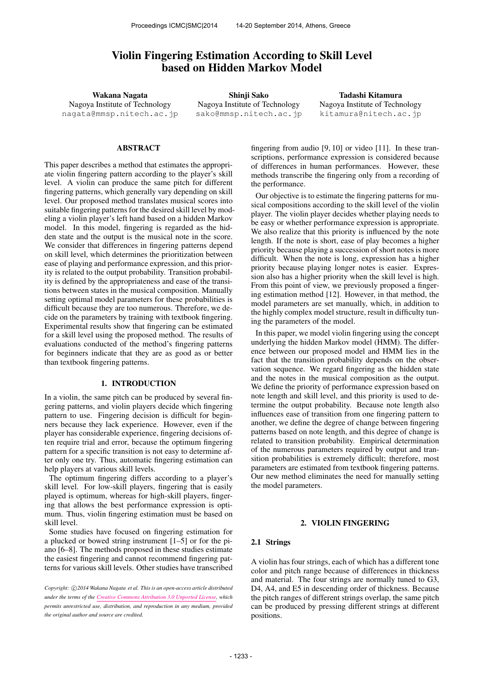# Violin Fingering Estimation According to Skill Level based on Hidden Markov Model

Wakana Nagata Nagoya Institute of Technology nagata@mmsp.nitech.ac.jp

Shinji Sako Nagoya Institute of Technology sako@mmsp.nitech.ac.jp

Tadashi Kitamura Nagoya Institute of Technology kitamura@nitech.ac.jp

# ABSTRACT

This paper describes a method that estimates the appropriate violin fingering pattern according to the player's skill level. A violin can produce the same pitch for different fingering patterns, which generally vary depending on skill level. Our proposed method translates musical scores into suitable fingering patterns for the desired skill level by modeling a violin player's left hand based on a hidden Markov model. In this model, fingering is regarded as the hidden state and the output is the musical note in the score. We consider that differences in fingering patterns depend on skill level, which determines the prioritization between ease of playing and performance expression, and this priority is related to the output probability. Transition probability is defined by the appropriateness and ease of the transitions between states in the musical composition. Manually setting optimal model parameters for these probabilities is difficult because they are too numerous. Therefore, we decide on the parameters by training with textbook fingering. Experimental results show that fingering can be estimated for a skill level using the proposed method. The results of evaluations conducted of the method's fingering patterns for beginners indicate that they are as good as or better than textbook fingering patterns.

# 1. INTRODUCTION

In a violin, the same pitch can be produced by several fingering patterns, and violin players decide which fingering pattern to use. Fingering decision is difficult for beginners because they lack experience. However, even if the player has considerable experience, fingering decisions often require trial and error, because the optimum fingering pattern for a specific transition is not easy to determine after only one try. Thus, automatic fingering estimation can help players at various skill levels.

The optimum fingering differs according to a player's skill level. For low-skill players, fingering that is easily played is optimum, whereas for high-skill players, fingering that allows the best performance expression is optimum. Thus, violin fingering estimation must be based on skill level.

Some studies have focused on fingering estimation for a plucked or bowed string instrument [1–5] or for the piano [6–8]. The methods proposed in these studies estimate the easiest fingering and cannot recommend fingering patterns for various skill levels. Other studies have transcribed

fingering from audio [9, 10] or video [11]. In these transcriptions, performance expression is considered because of differences in human performances. However, these methods transcribe the fingering only from a recording of the performance.

Our objective is to estimate the fingering patterns for musical compositions according to the skill level of the violin player. The violin player decides whether playing needs to be easy or whether performance expression is appropriate. We also realize that this priority is influenced by the note length. If the note is short, ease of play becomes a higher priority because playing a succession of short notes is more difficult. When the note is long, expression has a higher priority because playing longer notes is easier. Expression also has a higher priority when the skill level is high. From this point of view, we previously proposed a fingering estimation method [12]. However, in that method, the model parameters are set manually, which, in addition to the highly complex model structure, result in difficulty tuning the parameters of the model.

In this paper, we model violin fingering using the concept underlying the hidden Markov model (HMM). The difference between our proposed model and HMM lies in the fact that the transition probability depends on the observation sequence. We regard fingering as the hidden state and the notes in the musical composition as the output. We define the priority of performance expression based on note length and skill level, and this priority is used to determine the output probability. Because note length also influences ease of transition from one fingering pattern to another, we define the degree of change between fingering patterns based on note length, and this degree of change is related to transition probability. Empirical determination of the numerous parameters required by output and transition probabilities is extremely difficult; therefore, most parameters are estimated from textbook fingering patterns. Our new method eliminates the need for manually setting the model parameters.

# 2. VIOLIN FINGERING

### 2.1 Strings

A violin has four strings, each of which has a different tone color and pitch range because of differences in thickness and material. The four strings are normally tuned to G3, D4, A4, and E5 in descending order of thickness. Because the pitch ranges of different strings overlap, the same pitch can be produced by pressing different strings at different positions.

*Copyright:* ⃝c *2014 Wakana Nagata et al. This is an open-access article distributed under the terms of the Creative Commons Attribution 3.0 Unported License, which permits unrestricted use, distribution, and reproduction in any medium, provided the original author and source are credited.*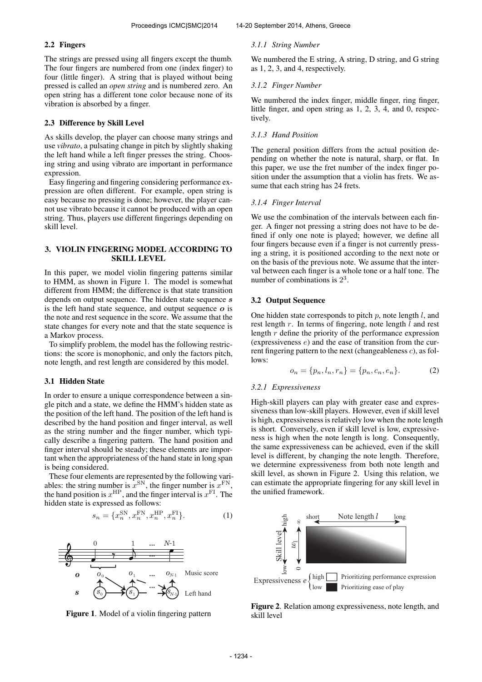# 2.2 Fingers

The strings are pressed using all fingers except the thumb. The four fingers are numbered from one (index finger) to four (little finger). A string that is played without being pressed is called an *open string* and is numbered zero. An open string has a different tone color because none of its vibration is absorbed by a finger.

# 2.3 Difference by Skill Level

As skills develop, the player can choose many strings and use *vibrato*, a pulsating change in pitch by slightly shaking the left hand while a left finger presses the string. Choosing string and using vibrato are important in performance expression.

Easy fingering and fingering considering performance expression are often different. For example, open string is easy because no pressing is done; however, the player cannot use vibrato because it cannot be produced with an open string. Thus, players use different fingerings depending on skill level.

# 3. VIOLIN FINGERING MODEL ACCORDING TO SKILL LEVEL

In this paper, we model violin fingering patterns similar to HMM, as shown in Figure 1. The model is somewhat different from HMM; the difference is that state transition depends on output sequence. The hidden state sequence s is the left hand state sequence, and output sequence  $\boldsymbol{o}$  is the note and rest sequence in the score. We assume that the state changes for every note and that the state sequence is a Markov process.

To simplify problem, the model has the following restrictions: the score is monophonic, and only the factors pitch, note length, and rest length are considered by this model.

### 3.1 Hidden State

In order to ensure a unique correspondence between a single pitch and a state, we define the HMM's hidden state as the position of the left hand. The position of the left hand is described by the hand position and finger interval, as well as the string number and the finger number, which typically describe a fingering pattern. The hand position and finger interval should be steady; these elements are important when the appropriateness of the hand state in long span is being considered.

These four elements are represented by the following variables: the string number is  $x^{SN}$ , the finger number is  $x^{FN}$ , the hand position is  $x^{\text{HP}}$ , and the finger interval is  $x^{\text{FI}}$ . The hidden state is expressed as follows:

$$
s_n = \{x_n^{\text{SN}}, x_n^{\text{FN}}, x_n^{\text{HP}}, x_n^{\text{FI}}\}.
$$
 (1)





# *3.1.1 String Number*

We numbered the E string, A string, D string, and G string as 1, 2, 3, and 4, respectively.

### *3.1.2 Finger Number*

We numbered the index finger, middle finger, ring finger, little finger, and open string as 1, 2, 3, 4, and 0, respectively.

#### *3.1.3 Hand Position*

The general position differs from the actual position depending on whether the note is natural, sharp, or flat. In this paper, we use the fret number of the index finger position under the assumption that a violin has frets. We assume that each string has 24 frets.

### *3.1.4 Finger Interval*

We use the combination of the intervals between each finger. A finger not pressing a string does not have to be defined if only one note is played; however, we define all four fingers because even if a finger is not currently pressing a string, it is positioned according to the next note or on the basis of the previous note. We assume that the interval between each finger is a whole tone or a half tone. The number of combinations is  $2<sup>3</sup>$ .

### 3.2 Output Sequence

One hidden state corresponds to pitch  $p$ , note length  $l$ , and rest length  $r$ . In terms of fingering, note length  $l$  and rest length  $r$  define the priority of the performance expression (expressiveness e) and the ease of transition from the current fingering pattern to the next (changeableness c), as follows:

$$
o_n = \{p_n, l_n, r_n\} = \{p_n, c_n, e_n\}.
$$
 (2)

### *3.2.1 Expressiveness*

High-skill players can play with greater ease and expressiveness than low-skill players. However, even if skill level is high, expressiveness is relatively low when the note length is short. Conversely, even if skill level is low, expressiveness is high when the note length is long. Consequently, the same expressiveness can be achieved, even if the skill level is different, by changing the note length. Therefore, we determine expressiveness from both note length and skill level, as shown in Figure 2. Using this relation, we can estimate the appropriate fingering for any skill level in the unified framework.



Figure 2. Relation among expressiveness, note length, and skill level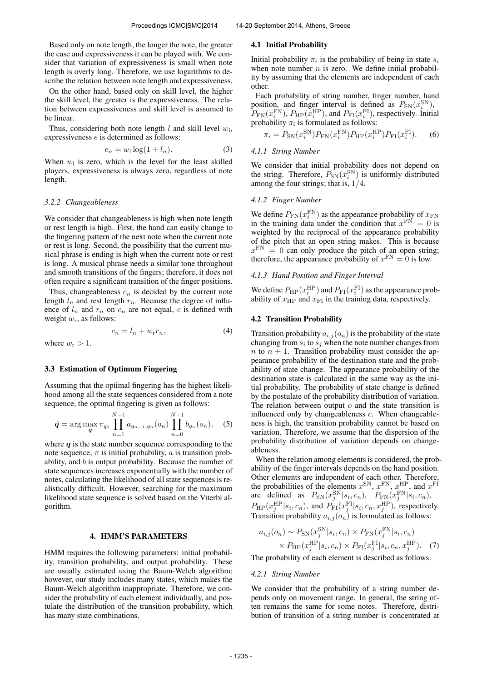Based only on note length, the longer the note, the greater the ease and expressiveness it can be played with. We consider that variation of expressiveness is small when note length is overly long. Therefore, we use logarithms to describe the relation between note length and expressiveness.

On the other hand, based only on skill level, the higher the skill level, the greater is the expressiveness. The relation between expressiveness and skill level is assumed to be linear.

Thus, considering both note length  $l$  and skill level  $w_l$ , expressiveness e is determined as follows:

$$
e_n = w_1 \log(1 + l_n). \tag{3}
$$

When  $w_1$  is zero, which is the level for the least skilled players, expressiveness is always zero, regardless of note length.

### *3.2.2 Changeableness*

We consider that changeableness is high when note length or rest length is high. First, the hand can easily change to the fingering pattern of the next note when the current note or rest is long. Second, the possibility that the current musical phrase is ending is high when the current note or rest is long. A musical phrase needs a similar tone throughout and smooth transitions of the fingers; therefore, it does not often require a significant transition of the finger positions.

Thus, changeableness  $c_n$  is decided by the current note length  $l_n$  and rest length  $r_n$ . Because the degree of influence of  $l_n$  and  $r_n$  on  $c_n$  are not equal, c is defined with weight  $w_r$ , as follows:

$$
c_n = l_n + w_r r_n,\tag{4}
$$

where  $w_r > 1$ .

### 3.3 Estimation of Optimum Fingering

Assuming that the optimal fingering has the highest likelihood among all the state sequences considered from a note sequence, the optimal fingering is given as follows:

$$
\hat{q} = \arg \max_{\boldsymbol{q}} \pi_{q_0} \prod_{n=1}^{N-1} a_{q_{n-1},q_n}(o_n) \prod_{n=0}^{N-1} b_{q_n}(o_n), \quad (5)
$$

where  $q$  is the state number sequence corresponding to the note sequence,  $\pi$  is initial probability, a is transition probability, and  $b$  is output probability. Because the number of state sequences increases exponentially with the number of notes, calculating the likelihood of all state sequences is realistically difficult. However, searching for the maximum likelihood state sequence is solved based on the Viterbi algorithm.

# 4. HMM'S PARAMETERS

HMM requires the following parameters: initial probability, transition probability, and output probability. These are usually estimated using the Baum-Welch algorithm; however, our study includes many states, which makes the Baum-Welch algorithm inappropriate. Therefore, we consider the probability of each element individually, and postulate the distribution of the transition probability, which has many state combinations.

#### 4.1 Initial Probability

Initial probability  $\pi_i$  is the probability of being in state  $s_i$ when note number  $n$  is zero. We define initial probability by assuming that the elements are independent of each other.

Each probability of string number, finger number, hand position, and finger interval is defined as  $P_{SN}(x_i^{SN})$ ,  $P_{\text{FN}}(x_i^{\text{FN}}), P_{\text{HP}}(x_i^{\text{HP}}),$  and  $P_{\text{FI}}(x_i^{\text{FI}})$ , respectively. Initial probability  $\pi_i$  is formulated as follows:

$$
\pi_i = P_{\rm SN}(x_i^{\rm SN}) P_{\rm FN}(x_i^{\rm FN}) P_{\rm HP}(x_i^{\rm HP}) P_{\rm FI}(x_i^{\rm FI}).\tag{6}
$$

### *4.1.1 String Number*

We consider that initial probability does not depend on the string. Therefore,  $P_{SN}(x_i^{SN})$  is uniformly distributed among the four strings; that is, 1/4.

# *4.1.2 Finger Number*

We define  $P_{\text{FN}}(x_i^{\text{FN}})$  as the appearance probability of  $x_{\text{FN}}$ in the training data under the condition that  $x^{\text{FN}} = 0$  is weighted by the reciprocal of the appearance probability of the pitch that an open string makes. This is because  $x^{\text{FN}} = 0$  can only produce the pitch of an open string; therefore, the appearance probability of  $x^{\text{FN}} = 0$  is low.

# *4.1.3 Hand Position and Finger Interval*

We define  $P_{\rm HP}(x_i^{\rm HP})$  and  $P_{\rm FI}(x_i^{\rm FI})$  as the appearance probability of  $x_{\text{HP}}$  and  $x_{\text{FI}}$  in the training data, respectively.

# 4.2 Transition Probability

Transition probability  $a_{i,j}(o_n)$  is the probability of the state changing from  $s_i$  to  $s_j$  when the note number changes from n to  $n + 1$ . Transition probability must consider the appearance probability of the destination state and the probability of state change. The appearance probability of the destination state is calculated in the same way as the initial probability. The probability of state change is defined by the postulate of the probability distribution of variation. The relation between output  $o$  and the state transition is influenced only by changeableness  $c$ . When changeableness is high, the transition probability cannot be based on variation. Therefore, we assume that the dispersion of the probability distribution of variation depends on changeableness.

When the relation among elements is considered, the probability of the finger intervals depends on the hand position. Other elements are independent of each other. Therefore, the probabilities of the elements  $x^{\text{SN}}$ ,  $x^{\text{FN}}$ ,  $x^{\text{HP}}$ , and  $x^{\text{FI}}$ are defined as  $P_{SN}(x_j^{\text{SN}} | s_i, c_n)$ ,  $P_{FN}(x_j^{\text{FN}} | s_i, c_n)$ ,  $P_{\rm HP}(x_j^{\rm HP}|s_i, c_n)$ , and  $P_{\rm FI}(x_j^{\rm FI}|s_i, c_n, x_j^{\rm HP})$ , respectively. Transition probability  $a_{i,j}(o_n)$  is formulated as follows:

$$
a_{i,j}(o_n) \sim P_{SN}(x_j^{SN}|s_i, c_n) \times P_{FN}(x_j^{FN}|s_i, c_n)
$$

$$
\times P_{HP}(x_j^{HP}|s_i, c_n) \times P_{FI}(x_j^{FT}|s_i, c_n, x_j^{HP}). \quad (7)
$$

The probability of each element is described as follows.

### *4.2.1 String Number*

We consider that the probability of a string number depends only on movement range. In general, the string often remains the same for some notes. Therefore, distribution of transition of a string number is concentrated at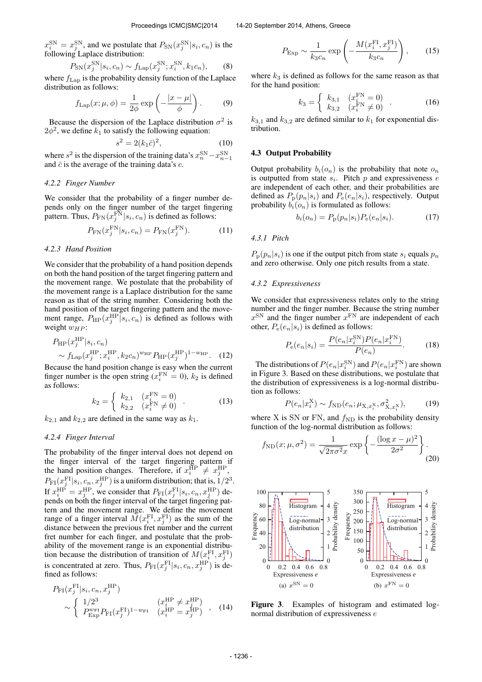$x_i^{\text{SN}} = x_j^{\text{SN}}$ , and we postulate that  $P_{\text{SN}}(x_j^{\text{SN}} | s_i, c_n)$  is the following Laplace distribution:

$$
P_{\rm SN}(x_j^{\rm SN}|s_i, c_n) \sim f_{\rm Lap}(x_j^{\rm SN}; x_i^{\rm SN}, k_1 c_n), \qquad (8)
$$

where  $f_{\text{Lap}}$  is the probability density function of the Laplace distribution as follows:

$$
f_{\text{Lap}}(x;\mu,\phi) = \frac{1}{2\phi} \exp\left(-\frac{|x-\mu|}{\phi}\right). \tag{9}
$$

Because the dispersion of the Laplace distribution  $\sigma^2$  is  $2\phi^2$ , we define  $k_1$  to satisfy the following equation:

$$
s^2 = 2(k_1 \bar{c})^2,\tag{10}
$$

where  $s^2$  is the dispersion of the training data's  $x_n^{\rm SN} - x_{n-1}^{\rm SN}$ and  $\bar{c}$  is the average of the training data's c.

### *4.2.2 Finger Number*

We consider that the probability of a finger number depends only on the finger number of the target fingering pattern. Thus,  $P_{FN}(x_j^{\text{FN}} | s_i, c_n)$  is defined as follows:

$$
P_{\text{FN}}(x_j^{\text{FN}}|s_i, c_n) = P_{\text{FN}}(x_j^{\text{FN}}).
$$
 (11)

### *4.2.3 Hand Position*

We consider that the probability of a hand position depends on both the hand position of the target fingering pattern and the movement range. We postulate that the probability of the movement range is a Laplace distribution for the same reason as that of the string number. Considering both the hand position of the target fingering pattern and the movement range,  $P_{\text{HP}}(x_j^{\text{HP}}|s_i, c_n)$  is defined as follows with weight  $w_{HP}$ :

$$
P_{\rm HP}(x_j^{\rm HP}|s_i, c_n) \sim f_{\rm Lap}(x_j^{\rm HP}; x_i^{\rm HP}, k_2 c_n)^{w_{\rm HP}} P_{\rm HP}(x_j^{\rm HP})^{1-w_{\rm HP}}.
$$
 (12)

Because the hand position change is easy when the current finger number is the open string  $(x_i^{\text{FN}} = 0)$ ,  $k_2$  is defined as follows:

$$
k_2 = \begin{cases} k_{2,1} & (x_i^{\text{FN}} = 0) \\ k_{2,2} & (x_i^{\text{FN}} \neq 0) \end{cases} .
$$
 (13)

 $k_{2,1}$  and  $k_{2,2}$  are defined in the same way as  $k_1$ .

### *4.2.4 Finger Interval*

The probability of the finger interval does not depend on the finger interval of the target fingering pattern if the hand position changes. Therefore, if  $x_i^{\text{HP}} \neq x_j^{\text{HP}}$ ,  $P_{\text{FI}}(x_j^{\text{FI}}|s_i, c_n, x_j^{\text{HP}})$  is a uniform distribution; that is,  $1/2^3$ . If  $x_i^{\text{HP}} = x_j^{\text{HP}}$ , we consider that  $P_{\text{FI}}(x_j^{\text{FI}} | s_i, c_n, x_j^{\text{HP}})$  depends on both the finger interval of the target fingering pattern and the movement range. We define the movement range of a finger interval  $\overline{M}(x_i^{\text{FI}}, x_j^{\text{FI}})$  as the sum of the distance between the previous fret number and the current fret number for each finger, and postulate that the probability of the movement range is an exponential distribution because the distribution of transition of  $M(x_i^{\text{FI}}, x_j^{\text{FI}})$ is concentrated at zero. Thus,  $P_{FI}(x_j^{\text{FI}}|s_i, c_n, x_j^{\text{HP}})$  is defined as follows:

$$
P_{\rm FI}(x_j^{\rm FI}|s_i, c_n, x_j^{\rm HP})
$$
  
\n
$$
\sim \begin{cases} 1/2^3 & (x_i^{\rm HP} \neq x_j^{\rm HP}) \\ P_{\rm Exp}^{w_{\rm FI}} P_{\rm FI}(x_j^{\rm FI})^{1-w_{\rm FI}} & (x_i^{\rm HP} = x_j^{\rm HP}) \end{cases}
$$
, (14)

$$
P_{\rm Exp} \sim \frac{1}{k_3 c_n} \exp\left(-\frac{M(x_i^{\rm FI}, x_j^{\rm FI})}{k_3 c_n}\right),\qquad(15)
$$

where  $k_3$  is defined as follows for the same reason as that for the hand position:

$$
k_3 = \begin{cases} k_{3,1} & (x_i^{\text{FN}} = 0) \\ k_{3,2} & (x_i^{\text{FN}} \neq 0) \end{cases} . \tag{16}
$$

 $k_{3,1}$  and  $k_{3,2}$  are defined similar to  $k_1$  for exponential distribution.

### 4.3 Output Probability

Output probability  $b_i(o_n)$  is the probability that note  $o_n$ is outputted from state  $s_i$ . Pitch  $p$  and expressiveness  $e$ are independent of each other, and their probabilities are defined as  $P_p(p_n|s_i)$  and  $P_e(e_n|s_i)$ , respectively. Output probability  $b_i(o_n)$  is formulated as follows:

$$
b_i(o_n) = P_p(p_n|s_i) P_e(e_n|s_i).
$$
 (17)

# *4.3.1 Pitch*

 $P_p(p_n|s_i)$  is one if the output pitch from state  $s_i$  equals  $p_n$ and zero otherwise. Only one pitch results from a state.

# *4.3.2 Expressiveness*

We consider that expressiveness relates only to the string number and the finger number. Because the string number  $x^{\text{SN}}$  and the finger number  $x^{\text{FN}}$  are independent of each other,  $P_e(e_n|s_i)$  is defined as follows:

$$
P_e(e_n|s_i) = \frac{P(e_n|x_i^{\text{SN}})P(e_n|x_i^{\text{FN}})}{P(e_n)}.
$$
 (18)

The distributions of  $P(e_n|x_i^{\text{SN}})$  and  $P(e_n|x_i^{\text{FN}})$  are shown in Figure 3. Based on these distributions, we postulate that the distribution of expressiveness is a log-normal distribution as follows:

$$
P(e_n|x_i^X) \sim f_{\rm ND}(e_n; \mu_{X, x_i^X}, \sigma^2_{X, x_i^X}), \quad (19)
$$

where X is SN or FN, and  $f_{\text{ND}}$  is the probability density function of the log-normal distribution as follows:

$$
f_{\rm ND}(x;\mu,\sigma^2) = \frac{1}{\sqrt{2\pi\sigma^2}x} \exp\left\{-\frac{(\log x - \mu)^2}{2\sigma^2}\right\}.
$$
\n(20)



Figure 3. Examples of histogram and estimated lognormal distribution of expressiveness e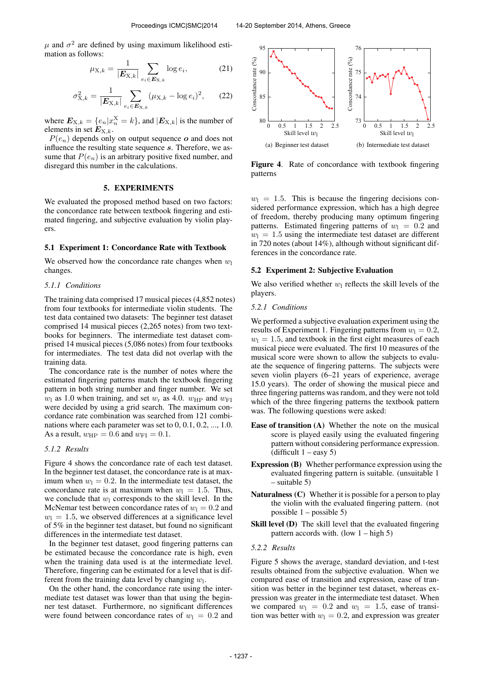$\mu$  and  $\sigma^2$  are defined by using maximum likelihood estimation as follows:

$$
\mu_{X,k} = \frac{1}{|\mathbf{E}_{X,k}|} \sum_{e_i \in \mathbf{E}_{X,k}} \log e_i, \tag{21}
$$

$$
\sigma_{X,k}^2 = \frac{1}{|\mathbf{E}_{X,k}|} \sum_{e_i \in \mathbf{E}_{X,k}} (\mu_{X,k} - \log e_i)^2, \qquad (22)
$$

where  $E_{X,k} = \{e_n | x_n^X = k\}$ , and  $|E_{X,k}|$  is the number of elements in set  $E_{X,k}$ .

 $P(e_n)$  depends only on output sequence o and does not influence the resulting state sequence s. Therefore, we assume that  $P(e_n)$  is an arbitrary positive fixed number, and disregard this number in the calculations.

#### 5. EXPERIMENTS

We evaluated the proposed method based on two factors: the concordance rate between textbook fingering and estimated fingering, and subjective evaluation by violin players.

### 5.1 Experiment 1: Concordance Rate with Textbook

We observed how the concordance rate changes when  $w_1$ changes.

### *5.1.1 Conditions*

The training data comprised 17 musical pieces (4,852 notes) from four textbooks for intermediate violin students. The test data contained two datasets: The beginner test dataset comprised 14 musical pieces (2,265 notes) from two textbooks for beginners. The intermediate test dataset comprised 14 musical pieces (5,086 notes) from four textbooks for intermediates. The test data did not overlap with the training data.

The concordance rate is the number of notes where the estimated fingering patterns match the textbook fingering pattern in both string number and finger number. We set  $w_1$  as 1.0 when training, and set  $w_r$  as 4.0.  $w_{HP}$  and  $w_{FI}$ were decided by using a grid search. The maximum concordance rate combination was searched from 121 combinations where each parameter was set to 0, 0.1, 0.2, ..., 1.0. As a result,  $w_{\text{HP}} = 0.6$  and  $w_{\text{FI}} = 0.1$ .

### *5.1.2 Results*

Figure 4 shows the concordance rate of each test dataset. In the beginner test dataset, the concordance rate is at maximum when  $w_1 = 0.2$ . In the intermediate test dataset, the concordance rate is at maximum when  $w_1 = 1.5$ . Thus, we conclude that  $w_1$  corresponds to the skill level. In the McNemar test between concordance rates of  $w_1 = 0.2$  and  $w_1 = 1.5$ , we observed differences at a significance level of 5% in the beginner test dataset, but found no significant differences in the intermediate test dataset.

In the beginner test dataset, good fingering patterns can be estimated because the concordance rate is high, even when the training data used is at the intermediate level. Therefore, fingering can be estimated for a level that is different from the training data level by changing  $w_1$ .

On the other hand, the concordance rate using the intermediate test dataset was lower than that using the beginner test dataset. Furthermore, no significant differences were found between concordance rates of  $w_1 = 0.2$  and



Figure 4. Rate of concordance with textbook fingering patterns

 $w_1 = 1.5$ . This is because the fingering decisions considered performance expression, which has a high degree of freedom, thereby producing many optimum fingering patterns. Estimated fingering patterns of  $w_1 = 0.2$  and  $w_1 = 1.5$  using the intermediate test dataset are different in 720 notes (about 14%), although without significant differences in the concordance rate.

# 5.2 Experiment 2: Subjective Evaluation

We also verified whether  $w_1$  reflects the skill levels of the players.

# *5.2.1 Conditions*

We performed a subjective evaluation experiment using the results of Experiment 1. Fingering patterns from  $w_1 = 0.2$ ,  $w_1 = 1.5$ , and textbook in the first eight measures of each musical piece were evaluated. The first 10 measures of the musical score were shown to allow the subjects to evaluate the sequence of fingering patterns. The subjects were seven violin players (6–21 years of experience, average 15.0 years). The order of showing the musical piece and three fingering patterns was random, and they were not told which of the three fingering patterns the textbook pattern was. The following questions were asked:

- Ease of transition (A) Whether the note on the musical score is played easily using the evaluated fingering pattern without considering performance expression. (difficult  $1 - e$ asy 5)
- Expression (B) Whether performance expression using the evaluated fingering pattern is suitable. (unsuitable 1 – suitable 5)
- Naturalness (C) Whether it is possible for a person to play the violin with the evaluated fingering pattern. (not possible  $1 -$  possible 5)
- Skill level (D) The skill level that the evaluated fingering pattern accords with. (low  $1 - \text{high } 5$ )

#### *5.2.2 Results*

Figure 5 shows the average, standard deviation, and t-test results obtained from the subjective evaluation. When we compared ease of transition and expression, ease of transition was better in the beginner test dataset, whereas expression was greater in the intermediate test dataset. When we compared  $w_1 = 0.2$  and  $w_1 = 1.5$ , ease of transition was better with  $w_1 = 0.2$ , and expression was greater